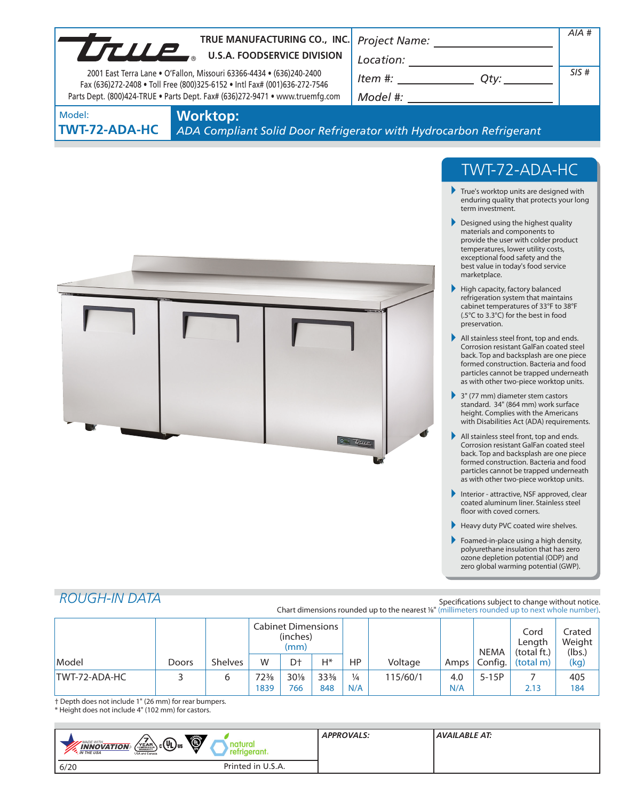| TRUE MANUFACTURING CO., INC                                                                                                                                                                                                       |                 | TRUE MANUFACTURING CO., INC.          |          | AIA#                                                                                                                                                                                                                                                                                                                                                               |                |
|-----------------------------------------------------------------------------------------------------------------------------------------------------------------------------------------------------------------------------------|-----------------|---------------------------------------|----------|--------------------------------------------------------------------------------------------------------------------------------------------------------------------------------------------------------------------------------------------------------------------------------------------------------------------------------------------------------------------|----------------|
| 2001 East Terra Lane . O'Fallon, Missouri 63366-4434 . (636)240-2400<br>Fax (636)272-2408 . Toll Free (800)325-6152 . Intl Fax# (001)636-272-7546<br>Parts Dept. (800)424-TRUE . Parts Dept. Fax# (636)272-9471 . www.truemfg.com |                 |                                       |          | $\begin{picture}(150,10) \put(0,0){\vector(1,0){100}} \put(15,0){\vector(1,0){100}} \put(15,0){\vector(1,0){100}} \put(15,0){\vector(1,0){100}} \put(15,0){\vector(1,0){100}} \put(15,0){\vector(1,0){100}} \put(15,0){\vector(1,0){100}} \put(15,0){\vector(1,0){100}} \put(15,0){\vector(1,0){100}} \put(15,0){\vector(1,0){100}} \put(15,0){\vector(1,0){100}}$ | SIS#           |
| Model:<br><b>TWT-72-ADA-HC</b>                                                                                                                                                                                                    | <b>Worktop:</b> |                                       |          | ADA Compliant Solid Door Refrigerator with Hydrocarbon Refrigerant                                                                                                                                                                                                                                                                                                 |                |
|                                                                                                                                                                                                                                   |                 |                                       |          | TWT-72-ADA-HC<br>$\blacktriangleright$ True's worktop units are designed with<br>enduring quality that protects your long<br>term investment.                                                                                                                                                                                                                      |                |
|                                                                                                                                                                                                                                   |                 |                                       |          | Designed using the highest quality<br>materials and components to<br>provide the user with colder product<br>temperatures, lower utility costs,<br>exceptional food safety and the<br>best value in today's food service<br>marketplace.                                                                                                                           |                |
|                                                                                                                                                                                                                                   |                 |                                       |          | High capacity, factory balanced<br>refrigeration system that maintains<br>cabinet temperatures of 33°F to 38°F<br>(.5°C to 3.3°C) for the best in food<br>preservation.                                                                                                                                                                                            |                |
|                                                                                                                                                                                                                                   |                 |                                       |          | All stainless steel front, top and ends.<br>Corrosion resistant GalFan coated steel<br>back. Top and backsplash are one piece<br>formed construction. Bacteria and food<br>particles cannot be trapped underneath<br>as with other two-piece worktop units.                                                                                                        |                |
|                                                                                                                                                                                                                                   |                 |                                       |          | $\blacktriangleright$ 3" (77 mm) diameter stem castors<br>standard. 34" (864 mm) work surface<br>height. Complies with the Americans<br>with Disabilities Act (ADA) requirements.                                                                                                                                                                                  |                |
|                                                                                                                                                                                                                                   |                 |                                       | $2\pi u$ | All stainless steel front, top and ends.<br>Corrosion resistant GalFan coated steel<br>back. Top and backsplash are one piece<br>formed construction. Bacteria and food<br>particles cannot be trapped underneath<br>as with other two-piece worktop units.                                                                                                        |                |
|                                                                                                                                                                                                                                   |                 |                                       |          | Interior - attractive, NSF approved, clear<br>coated aluminum liner. Stainless steel<br>floor with coved corners.                                                                                                                                                                                                                                                  |                |
|                                                                                                                                                                                                                                   |                 |                                       |          | Heavy duty PVC coated wire shelves.<br>Foamed-in-place using a high density,<br>polyurethane insulation that has zero<br>ozone depletion potential (ODP) and<br>zero global warming potential (GWP).                                                                                                                                                               |                |
| <b>ROUGH-IN DATA</b>                                                                                                                                                                                                              |                 |                                       |          | Specifications subject to change without notice.                                                                                                                                                                                                                                                                                                                   |                |
|                                                                                                                                                                                                                                   |                 | <b>Cabinet Dimensions</b><br>(inchac) |          | Chart dimensions rounded up to the nearest 1/8" (millimeters rounded up to next whole number).                                                                                                                                                                                                                                                                     | Cord<br>Crated |

|               |       |                | <b>Cabinet Dimensions</b><br>(inches)<br>(mm) |                |                 |               |          |      | <b>NEMA</b> | Cord<br>Length<br>(total ft.) | Crated<br>Weight<br>(lbs.) |
|---------------|-------|----------------|-----------------------------------------------|----------------|-----------------|---------------|----------|------|-------------|-------------------------------|----------------------------|
| Model         | Doors | <b>Shelves</b> | W                                             | D <sup>+</sup> | Н*              | HP            | Voltage  | Amps | Confia.     | l (total m)                   | (kg)                       |
| TWT-72-ADA-HC |       |                | $72\frac{3}{8}$                               | $30\%$         | $33\frac{3}{8}$ | $\frac{1}{4}$ | 115/60/1 | 4.0  | $5-15P$     |                               | 405                        |
|               |       |                | 1839                                          | 766            | 848             | N/A           |          | N/A  |             | 2.13                          | 184                        |

† Depth does not include 1" (26 mm) for rear bumpers.

\* Height does not include 4" (102 mm) for castors.

| Ö<br>$\left(\frac{V_{\text{EAR}}}{V_{\text{EAR}}} \right)$ $\left(\frac{U_{\text{L}}}{V_{\text{US}}} \right)$ us<br><b>MADE WITH_</b><br>tura<br><b>INNOVATION</b><br>refrigerant.<br><b>AN THE USA</b><br>USA and Canada | <b>APPROVALS:</b> | <b>AVAILABLE AT:</b> |
|---------------------------------------------------------------------------------------------------------------------------------------------------------------------------------------------------------------------------|-------------------|----------------------|
| Printed in U.S.A.<br>6/20                                                                                                                                                                                                 |                   |                      |